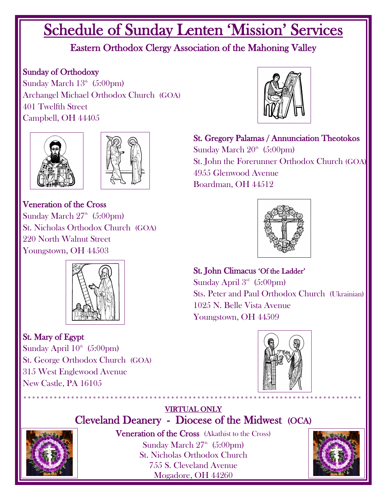# Schedule of Sunday Lenten 'Mission' Services

### Eastern Orthodox Clergy Association of the Mahoning Valley

#### Sunday of Orthodoxy

Sunday March  $13<sup>th</sup>$  (5:00pm) Archangel Michael Orthodox Church (GOA) 401 Twelfth Street Campbell, OH 44405





Veneration of the Cross Sunday March  $27<sup>th</sup>$  (5:00pm) St. Nicholas Orthodox Church (GOA) 220 North Walnut Street Youngstown, OH 44503



#### St. Mary of Egypt

Sunday April  $10<sup>th</sup>$  (5:00pm) St. George Orthodox Church (GOA) 315 West Englewood Avenue New Castle, PA 16105



St. Gregory Palamas / Annunciation Theotokos Sunday March  $20<sup>th</sup>$  (5:00pm) St. John the Forerunner Orthodox Church (GOA) 4955 Glenwood Avenue Boardman, OH 44512



St. John Climacus 'Of the Ladder' Sunday April  $3<sup>rd</sup>$  (5:00pm) Sts. Peter and Paul Orthodox Church (Ukrainian) 1025 N. Belle Vista Avenue Youngstown, OH 44509



#### \*\*\*\*\*\*\*\*\*\*\*\*\*\*\*\*\*\*\*\*\*\*\*\*\*\*\*\*\*\*\*\*\*\*\*\*\*\*\*\*\*\*\*\*\*\*\*\*\*\*\*\*\*\*\*\*\*\*\*\*\*\*\*\*\*\*\*\*\*\*\*\*\*\*\*\*\*\* VIRTUAL ONLY Cleveland Deanery - Diocese of the Midwest (OCA)



Veneration of the Cross (Akathist to the Cross) Sunday March  $27<sup>th</sup>$  (5:00pm) St. Nicholas Orthodox Church 755 S. Cleveland Avenue Mogadore, OH 44260